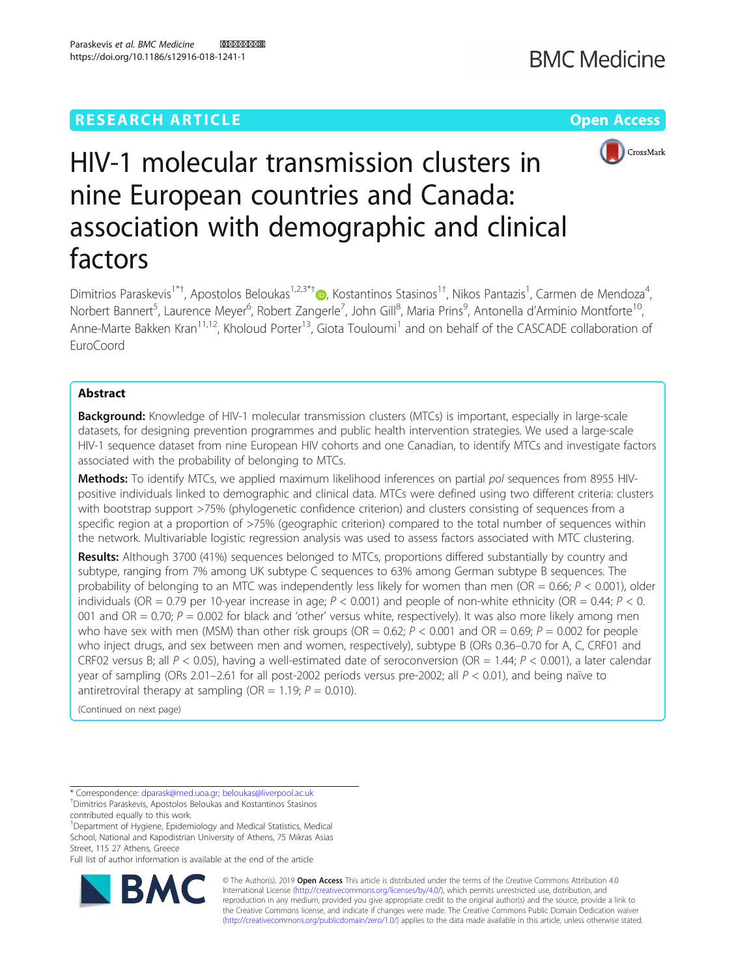

# HIV-1 molecular transmission clusters in nine European countries and Canada: association with demographic and clinical factors

Dimitrios Paraskevis<sup>1\*[†](http://orcid.org/0000-0001-5639-0528)</sup>, Apostolos Beloukas<sup>1,2,3\*†</sup>®, Kostantinos Stasinos<sup>1†</sup>, Nikos Pantazis<sup>1</sup>, Carmen de Mendoza<sup>4</sup> , Norbert Bannert<sup>5</sup>, Laurence Meyer<sup>6</sup>, Robert Zangerle<sup>7</sup>, John Gill<sup>8</sup>, Maria Prins<sup>9</sup>, Antonella d'Arminio Montforte<sup>10</sup>, Anne-Marte Bakken Kran<sup>11,12</sup>, Kholoud Porter<sup>13</sup>, Giota Touloumi<sup>1</sup> and on behalf of the CASCADE collaboration of EuroCoord

## Abstract

**Background:** Knowledge of HIV-1 molecular transmission clusters (MTCs) is important, especially in large-scale datasets, for designing prevention programmes and public health intervention strategies. We used a large-scale HIV-1 sequence dataset from nine European HIV cohorts and one Canadian, to identify MTCs and investigate factors associated with the probability of belonging to MTCs.

Methods: To identify MTCs, we applied maximum likelihood inferences on partial pol sequences from 8955 HIVpositive individuals linked to demographic and clinical data. MTCs were defined using two different criteria: clusters with bootstrap support >75% (phylogenetic confidence criterion) and clusters consisting of sequences from a specific region at a proportion of >75% (geographic criterion) compared to the total number of sequences within the network. Multivariable logistic regression analysis was used to assess factors associated with MTC clustering.

Results: Although 3700 (41%) sequences belonged to MTCs, proportions differed substantially by country and subtype, ranging from 7% among UK subtype C sequences to 63% among German subtype B sequences. The probability of belonging to an MTC was independently less likely for women than men (OR = 0.66;  $P < 0.001$ ), older individuals (OR = 0.79 per 10-year increase in age;  $P < 0.001$ ) and people of non-white ethnicity (OR = 0.44;  $P < 0$ . 001 and OR = 0.70;  $P = 0.002$  for black and 'other' versus white, respectively). It was also more likely among men who have sex with men (MSM) than other risk groups (OR =  $0.62$ ;  $P < 0.001$  and OR =  $0.69$ ;  $P = 0.002$  for people who inject drugs, and sex between men and women, respectively), subtype B (ORs 0.36–0.70 for A, C, CRF01 and CRF02 versus B; all  $P < 0.05$ ), having a well-estimated date of seroconversion (OR = 1.44;  $P < 0.001$ ), a later calendar year of sampling (ORs 2.01–2.61 for all post-2002 periods versus pre-2002; all P < 0.01), and being naïve to antiretroviral therapy at sampling (OR = 1.19;  $P = 0.010$ ).

(Continued on next page)

\* Correspondence: [dparask@med.uoa.gr;](mailto:dparask@med.uoa.gr) [beloukas@liverpool.ac.uk](mailto:beloukas@liverpool.ac.uk) † Dimitrios Paraskevis, Apostolos Beloukas and Kostantinos Stasinos contributed equally to this work.

<sup>1</sup>Department of Hygiene, Epidemiology and Medical Statistics, Medical School, National and Kapodistrian University of Athens, 75 Mikras Asias Street, 115 27 Athens, Greece

Full list of author information is available at the end of the article



© The Author(s). 2019 **Open Access** This article is distributed under the terms of the Creative Commons Attribution 4.0 International License [\(http://creativecommons.org/licenses/by/4.0/](http://creativecommons.org/licenses/by/4.0/)), which permits unrestricted use, distribution, and reproduction in any medium, provided you give appropriate credit to the original author(s) and the source, provide a link to the Creative Commons license, and indicate if changes were made. The Creative Commons Public Domain Dedication waiver [\(http://creativecommons.org/publicdomain/zero/1.0/](http://creativecommons.org/publicdomain/zero/1.0/)) applies to the data made available in this article, unless otherwise stated.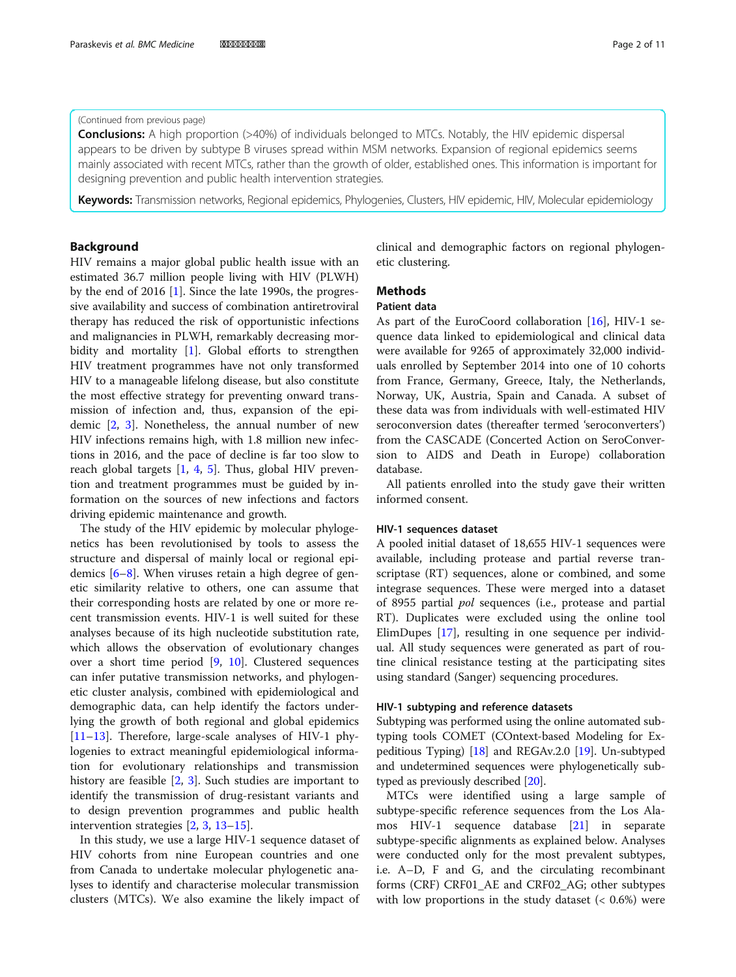#### (Continued from previous page)

**Conclusions:** A high proportion (>40%) of individuals belonged to MTCs. Notably, the HIV epidemic dispersal appears to be driven by subtype B viruses spread within MSM networks. Expansion of regional epidemics seems mainly associated with recent MTCs, rather than the growth of older, established ones. This information is important for designing prevention and public health intervention strategies.

Keywords: Transmission networks, Regional epidemics, Phylogenies, Clusters, HIV epidemic, HIV, Molecular epidemiology

## Background

HIV remains a major global public health issue with an estimated 36.7 million people living with HIV (PLWH) by the end of 2016 [\[1\]](#page-9-0). Since the late 1990s, the progressive availability and success of combination antiretroviral therapy has reduced the risk of opportunistic infections and malignancies in PLWH, remarkably decreasing mor-bidity and mortality [\[1](#page-9-0)]. Global efforts to strengthen HIV treatment programmes have not only transformed HIV to a manageable lifelong disease, but also constitute the most effective strategy for preventing onward transmission of infection and, thus, expansion of the epidemic [[2](#page-9-0), [3](#page-9-0)]. Nonetheless, the annual number of new HIV infections remains high, with 1.8 million new infections in 2016, and the pace of decline is far too slow to reach global targets [[1,](#page-9-0) [4,](#page-9-0) [5\]](#page-9-0). Thus, global HIV prevention and treatment programmes must be guided by information on the sources of new infections and factors driving epidemic maintenance and growth.

The study of the HIV epidemic by molecular phylogenetics has been revolutionised by tools to assess the structure and dispersal of mainly local or regional epidemics [[6](#page-9-0)–[8](#page-9-0)]. When viruses retain a high degree of genetic similarity relative to others, one can assume that their corresponding hosts are related by one or more recent transmission events. HIV-1 is well suited for these analyses because of its high nucleotide substitution rate, which allows the observation of evolutionary changes over a short time period [[9,](#page-9-0) [10\]](#page-10-0). Clustered sequences can infer putative transmission networks, and phylogenetic cluster analysis, combined with epidemiological and demographic data, can help identify the factors underlying the growth of both regional and global epidemics [[11](#page-10-0)–[13](#page-10-0)]. Therefore, large-scale analyses of HIV-1 phylogenies to extract meaningful epidemiological information for evolutionary relationships and transmission history are feasible [\[2](#page-9-0), [3](#page-9-0)]. Such studies are important to identify the transmission of drug-resistant variants and to design prevention programmes and public health intervention strategies [[2,](#page-9-0) [3,](#page-9-0) [13](#page-10-0)–[15](#page-10-0)].

In this study, we use a large HIV-1 sequence dataset of HIV cohorts from nine European countries and one from Canada to undertake molecular phylogenetic analyses to identify and characterise molecular transmission clusters (MTCs). We also examine the likely impact of

clinical and demographic factors on regional phylogenetic clustering.

## **Methods**

## Patient data

As part of the EuroCoord collaboration  $[16]$  $[16]$ , HIV-1 sequence data linked to epidemiological and clinical data were available for 9265 of approximately 32,000 individuals enrolled by September 2014 into one of 10 cohorts from France, Germany, Greece, Italy, the Netherlands, Norway, UK, Austria, Spain and Canada. A subset of these data was from individuals with well-estimated HIV seroconversion dates (thereafter termed 'seroconverters') from the CASCADE (Concerted Action on SeroConversion to AIDS and Death in Europe) collaboration database.

All patients enrolled into the study gave their written informed consent.

## HIV-1 sequences dataset

A pooled initial dataset of 18,655 HIV-1 sequences were available, including protease and partial reverse transcriptase (RT) sequences, alone or combined, and some integrase sequences. These were merged into a dataset of 8955 partial pol sequences (i.e., protease and partial RT). Duplicates were excluded using the online tool ElimDupes [[17\]](#page-10-0), resulting in one sequence per individual. All study sequences were generated as part of routine clinical resistance testing at the participating sites using standard (Sanger) sequencing procedures.

#### HIV-1 subtyping and reference datasets

Subtyping was performed using the online automated subtyping tools COMET (COntext-based Modeling for Expeditious Typing) [\[18\]](#page-10-0) and REGAv.2.0 [\[19\]](#page-10-0). Un-subtyped and undetermined sequences were phylogenetically subtyped as previously described [\[20\]](#page-10-0).

MTCs were identified using a large sample of subtype-specific reference sequences from the Los Alamos HIV-1 sequence database [[21\]](#page-10-0) in separate subtype-specific alignments as explained below. Analyses were conducted only for the most prevalent subtypes, i.e. A–D, F and G, and the circulating recombinant forms (CRF) CRF01\_AE and CRF02\_AG; other subtypes with low proportions in the study dataset  $($  < 0.6% $)$  were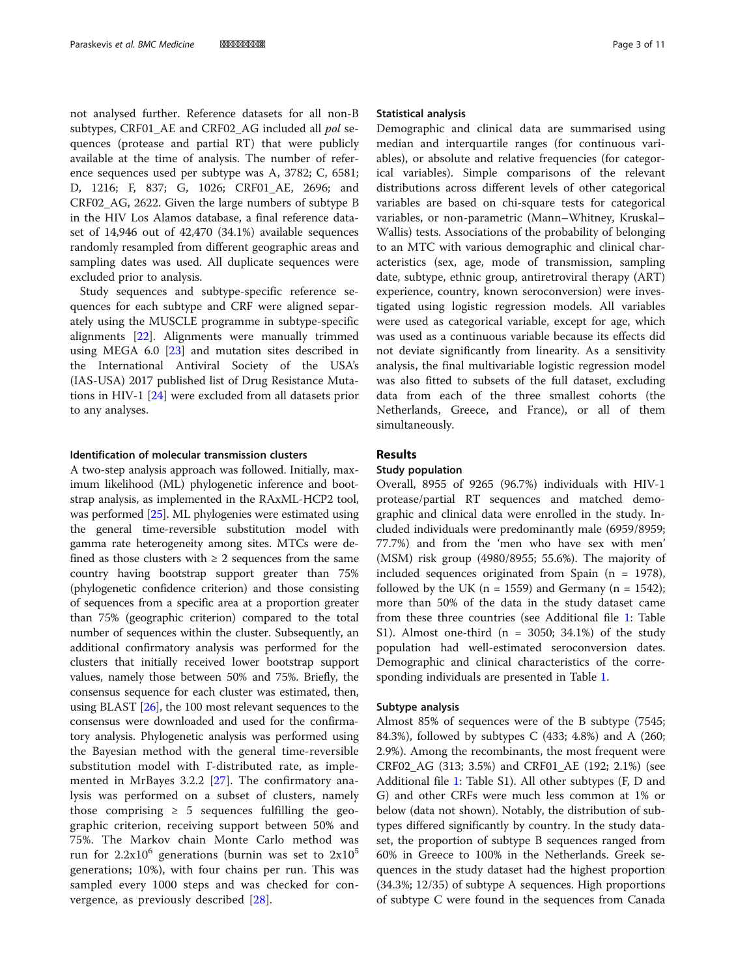not analysed further. Reference datasets for all non-B subtypes, CRF01\_AE and CRF02\_AG included all pol sequences (protease and partial RT) that were publicly available at the time of analysis. The number of reference sequences used per subtype was A, 3782; C, 6581; D, 1216; F, 837; G, 1026; CRF01\_AE, 2696; and CRF02\_AG, 2622. Given the large numbers of subtype B in the HIV Los Alamos database, a final reference dataset of 14,946 out of 42,470 (34.1%) available sequences randomly resampled from different geographic areas and sampling dates was used. All duplicate sequences were excluded prior to analysis.

Study sequences and subtype-specific reference sequences for each subtype and CRF were aligned separately using the MUSCLE programme in subtype-specific alignments [[22\]](#page-10-0). Alignments were manually trimmed using MEGA 6.0 [[23\]](#page-10-0) and mutation sites described in the International Antiviral Society of the USA's (IAS-USA) 2017 published list of Drug Resistance Mutations in HIV-1 [\[24](#page-10-0)] were excluded from all datasets prior to any analyses.

#### Identification of molecular transmission clusters

A two-step analysis approach was followed. Initially, maximum likelihood (ML) phylogenetic inference and bootstrap analysis, as implemented in the RAxML-HCP2 tool, was performed [\[25\]](#page-10-0). ML phylogenies were estimated using the general time-reversible substitution model with gamma rate heterogeneity among sites. MTCs were defined as those clusters with  $\geq 2$  sequences from the same country having bootstrap support greater than 75% (phylogenetic confidence criterion) and those consisting of sequences from a specific area at a proportion greater than 75% (geographic criterion) compared to the total number of sequences within the cluster. Subsequently, an additional confirmatory analysis was performed for the clusters that initially received lower bootstrap support values, namely those between 50% and 75%. Briefly, the consensus sequence for each cluster was estimated, then, using BLAST [\[26](#page-10-0)], the 100 most relevant sequences to the consensus were downloaded and used for the confirmatory analysis. Phylogenetic analysis was performed using the Bayesian method with the general time-reversible substitution model with Γ-distributed rate, as implemented in MrBayes 3.2.2 [[27](#page-10-0)]. The confirmatory analysis was performed on a subset of clusters, namely those comprising  $\geq 5$  sequences fulfilling the geographic criterion, receiving support between 50% and 75%. The Markov chain Monte Carlo method was run for  $2.2x10^6$  generations (burnin was set to  $2x10^5$ generations; 10%), with four chains per run. This was sampled every 1000 steps and was checked for convergence, as previously described [[28](#page-10-0)].

#### Statistical analysis

Demographic and clinical data are summarised using median and interquartile ranges (for continuous variables), or absolute and relative frequencies (for categorical variables). Simple comparisons of the relevant distributions across different levels of other categorical variables are based on chi-square tests for categorical variables, or non-parametric (Mann–Whitney, Kruskal– Wallis) tests. Associations of the probability of belonging to an MTC with various demographic and clinical characteristics (sex, age, mode of transmission, sampling date, subtype, ethnic group, antiretroviral therapy (ART) experience, country, known seroconversion) were investigated using logistic regression models. All variables were used as categorical variable, except for age, which was used as a continuous variable because its effects did not deviate significantly from linearity. As a sensitivity analysis, the final multivariable logistic regression model was also fitted to subsets of the full dataset, excluding data from each of the three smallest cohorts (the Netherlands, Greece, and France), or all of them simultaneously.

#### Results

#### Study population

Overall, 8955 of 9265 (96.7%) individuals with HIV-1 protease/partial RT sequences and matched demographic and clinical data were enrolled in the study. Included individuals were predominantly male (6959/8959; 77.7%) and from the 'men who have sex with men' (MSM) risk group (4980/8955; 55.6%). The majority of included sequences originated from Spain (n = 1978), followed by the UK ( $n = 1559$ ) and Germany ( $n = 1542$ ); more than 50% of the data in the study dataset came from these three countries (see Additional file [1](#page-8-0): Table S1). Almost one-third  $(n = 3050; 34.1%)$  of the study population had well-estimated seroconversion dates. Demographic and clinical characteristics of the corresponding individuals are presented in Table [1](#page-3-0).

#### Subtype analysis

Almost 85% of sequences were of the B subtype (7545; 84.3%), followed by subtypes C (433; 4.8%) and A (260; 2.9%). Among the recombinants, the most frequent were CRF02\_AG (313; 3.5%) and CRF01\_AE (192; 2.1%) (see Additional file [1:](#page-8-0) Table S1). All other subtypes (F, D and G) and other CRFs were much less common at 1% or below (data not shown). Notably, the distribution of subtypes differed significantly by country. In the study dataset, the proportion of subtype B sequences ranged from 60% in Greece to 100% in the Netherlands. Greek sequences in the study dataset had the highest proportion (34.3%; 12/35) of subtype A sequences. High proportions of subtype C were found in the sequences from Canada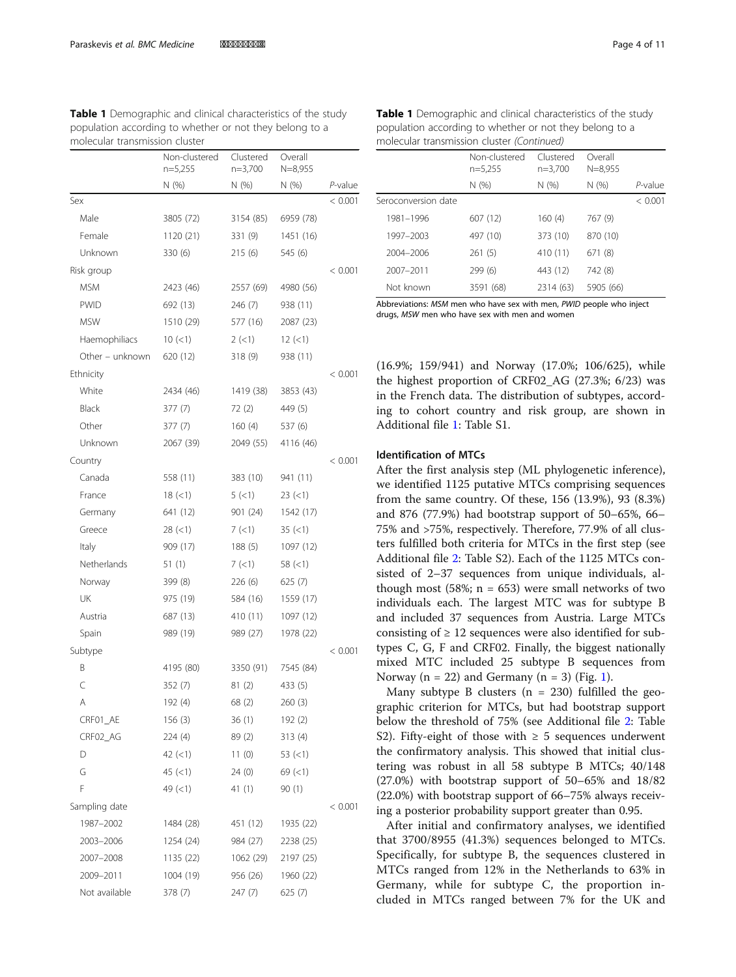|                 | Non-clustered<br>$n=5,255$ | Clustered<br>$n=3,700$ | Overall<br>$N = 8,955$ |            |
|-----------------|----------------------------|------------------------|------------------------|------------|
|                 | N (%)                      | N(% )                  | N (%)                  | $P$ -value |
| Sex             |                            |                        |                        | < 0.001    |
| Male            | 3805 (72)                  | 3154 (85)              | 6959 (78)              |            |
| Female          | 1120 (21)                  | 331 (9)                | 1451 (16)              |            |
| Unknown         | 330 (6)                    | 215(6)                 | 545 (6)                |            |
| Risk group      |                            |                        |                        | < 0.001    |
| <b>MSM</b>      | 2423 (46)                  | 2557 (69)              | 4980 (56)              |            |
| <b>PWID</b>     | 692 (13)                   | 246 (7)                | 938 (11)               |            |
| <b>MSW</b>      | 1510 (29)                  | 577 (16)               | 2087 (23)              |            |
| Haemophiliacs   | $10 (=1)$                  | 2(1)                   | $12$ (<1)              |            |
| Other - unknown | 620 (12)                   | 318 (9)                | 938 (11)               |            |
| Ethnicity       |                            |                        |                        | < 0.001    |
| White           | 2434 (46)                  | 1419 (38)              | 3853 (43)              |            |
| Black           | 377(7)                     | 72 (2)                 | 449 (5)                |            |
| Other           | 377(7)                     | 160(4)                 | 537 (6)                |            |
| Unknown         | 2067 (39)                  | 2049 (55)              | 4116 (46)              |            |
| Country         |                            |                        |                        | < 0.001    |
| Canada          | 558 (11)                   | 383 (10)               | 941 (11)               |            |
| France          | 18 (< 1)                   | 5(1)                   | $23 (=1)$              |            |
| Germany         | 641 (12)                   | 901 (24)               | 1542 (17)              |            |
| Greece          | $28 \approx 1$             | 7(1)                   | 35 (< 1)               |            |
| Italy           | 909 (17)                   | 188(5)                 | 1097 (12)              |            |
| Netherlands     | 51 (1)                     | 7(1)                   | 58 $(<1)$              |            |
| Norway          | 399(8)                     | 226 (6)                | 625 (7)                |            |
| UK              | 975 (19)                   | 584 (16)               | 1559 (17)              |            |
| Austria         | 687 (13)                   | 410 (11)               | 1097 (12)              |            |
| Spain           | 989 (19)                   | 989 (27)               | 1978 (22)              |            |
| Subtype         |                            |                        |                        | < 0.001    |
| Β               | 4195 (80)                  | 3350 (91)              | 7545 (84)              |            |
| C               | 352(7)                     | 81(2)                  | 433 (5)                |            |
| Α               | 192 (4)                    | 68 (2)                 | 260(3)                 |            |
| CRF01_AE        | 156(3)                     | 36(1)                  | 192(2)                 |            |
| CRF02_AG        | 224(4)                     | 89 (2)                 | 313(4)                 |            |
| D               | 42 $(< 1)$                 | 11(0)                  | 53 $(<1)$              |            |
| G               | 45 (< 1)                   | 24(0)                  | $69 (=1)$              |            |
| F               | 49 $(< 1)$                 | 41(1)                  | 90(1)                  |            |
| Sampling date   |                            |                        |                        | < 0.001    |
| 1987-2002       | 1484 (28)                  | 451 (12)               | 1935 (22)              |            |
| 2003-2006       | 1254 (24)                  | 984 (27)               | 2238 (25)              |            |
| 2007-2008       | 1135 (22)                  | 1062 (29)              | 2197 (25)              |            |
| 2009-2011       | 1004 (19)                  | 956 (26)               | 1960 (22)              |            |
| Not available   | 378 (7)                    | 247 (7)                | 625 (7)                |            |

<span id="page-3-0"></span>Table 1 Demographic and clinical characteristics of the study population according to whether or not they belong to a molecular transmission cluster

| Table 1 Demographic and clinical characteristics of the study |
|---------------------------------------------------------------|
| population according to whether or not they belong to a       |
| molecular transmission cluster (Continued)                    |

|                     | Non-clustered<br>$n=5,255$ | Clustered<br>$n=3,700$ | Overall<br>$N = 8,955$ |            |
|---------------------|----------------------------|------------------------|------------------------|------------|
|                     | N(%)                       | N (%)                  | N(% )                  | $P$ -value |
| Seroconversion date |                            |                        |                        | < 0.001    |
| 1981-1996           | 607 (12)                   | 160(4)                 | 767 (9)                |            |
| 1997-2003           | 497 (10)                   | 373 (10)               | 870 (10)               |            |
| 2004-2006           | 261(5)                     | 410 (11)               | 671(8)                 |            |
| 2007-2011           | 299 (6)                    | 443 (12)               | 742 (8)                |            |
| Not known           | 3591 (68)                  | 2314 (63)              | 5905 (66)              |            |

Abbreviations: MSM men who have sex with men, PWID people who inject drugs, MSW men who have sex with men and women

(16.9%; 159/941) and Norway (17.0%; 106/625), while the highest proportion of CRF02\_AG (27.3%; 6/23) was in the French data. The distribution of subtypes, according to cohort country and risk group, are shown in Additional file [1](#page-8-0): Table S1.

## Identification of MTCs

After the first analysis step (ML phylogenetic inference), we identified 1125 putative MTCs comprising sequences from the same country. Of these, 156 (13.9%), 93 (8.3%) and 876 (77.9%) had bootstrap support of 50–65%, 66– 75% and >75%, respectively. Therefore, 77.9% of all clusters fulfilled both criteria for MTCs in the first step (see Additional file [2](#page-8-0): Table S2). Each of the 1125 MTCs consisted of 2–37 sequences from unique individuals, although most (58%;  $n = 653$ ) were small networks of two individuals each. The largest MTC was for subtype B and included 37 sequences from Austria. Large MTCs consisting of  $\geq 12$  sequences were also identified for subtypes C, G, F and CRF02. Finally, the biggest nationally mixed MTC included 25 subtype B sequences from Norway ( $n = 22$ ) and Germany ( $n = 3$ ) (Fig. [1](#page-5-0)).

Many subtype B clusters  $(n = 230)$  fulfilled the geographic criterion for MTCs, but had bootstrap support below the threshold of 75% (see Additional file [2:](#page-8-0) Table S2). Fifty-eight of those with  $\geq 5$  sequences underwent the confirmatory analysis. This showed that initial clustering was robust in all 58 subtype B MTCs; 40/148 (27.0%) with bootstrap support of 50–65% and 18/82 (22.0%) with bootstrap support of 66–75% always receiving a posterior probability support greater than 0.95.

After initial and confirmatory analyses, we identified that 3700/8955 (41.3%) sequences belonged to MTCs. Specifically, for subtype B, the sequences clustered in MTCs ranged from 12% in the Netherlands to 63% in Germany, while for subtype C, the proportion included in MTCs ranged between 7% for the UK and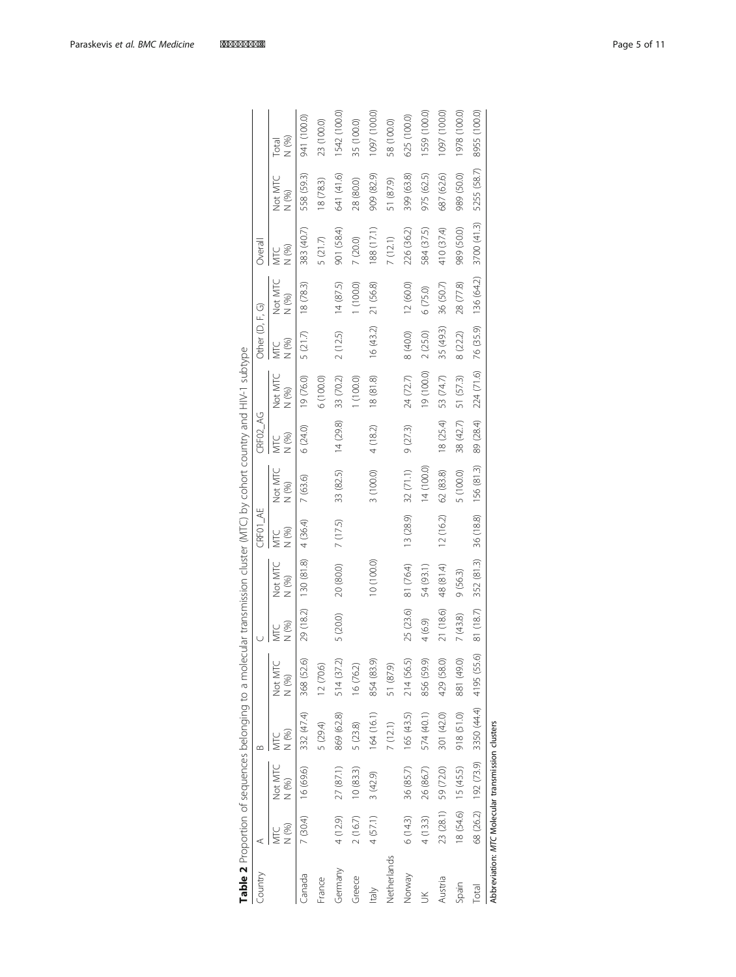<span id="page-4-0"></span>

|                                                   |           |                     | Table 2 Proportion of sequences belonging to a mol- |                   |           | ecular transmission cluster (MTC) by cohort country and HIV-1 subtype |                      |                  |              |                          |                 |                  |             |                          |                       |
|---------------------------------------------------|-----------|---------------------|-----------------------------------------------------|-------------------|-----------|-----------------------------------------------------------------------|----------------------|------------------|--------------|--------------------------|-----------------|------------------|-------------|--------------------------|-----------------------|
| Country                                           |           |                     |                                                     |                   |           |                                                                       | CRFO1 AE             |                  | CRF02_AG     |                          | Other (D, F, G) |                  | Overal      |                          |                       |
|                                                   | N (%)     | Not MTC<br>8<br>Z   | N (%)<br>Š                                          | Not MTC<br>8<br>Z | N (%)     | Not MTC<br>N (%)                                                      | $\frac{8}{2}$<br>NIC | Not MTC<br>N (%) | N (%)<br>MIC | Not MTC<br>$\frac{8}{2}$ | N (%)<br>MTC    | Not MTC<br>N (%) | N (%)       | Not MTC<br>$\frac{8}{2}$ | N (%)<br><b>Total</b> |
| Canada                                            | 7 (30.4)  | 16 (69.6)           | 332 (47.4)                                          | 368 (52.6)        | 29 (18.2) | 130 (81.8)                                                            | 4 (36.4)             | 7 (63.6)         | 6(24.0)      | 19 (76.0)                | 5(21.7)         | 18 (78.3)        | 383 (40.7)  | 558 (59.3)               | 941 (100.0)           |
| France                                            |           |                     | 5 (29.4)                                            | 12 (70.6)         |           |                                                                       |                      |                  |              | 6 (100.0)                |                 |                  | 5(21.7)     | 18 (78.3)                | 23 (100.0)            |
| Germany                                           | 4 (12.9)  | 27 (87.1)           | 869 (62.8)                                          | 514 (37.2)        | 5 (20.0)  | 20 (80.0)                                                             | 7 (175)              | 33 (82.5)        | 14(29.8)     | 33 (70.2)                | 2(12.5)         | 14(87.5)         | 901 (58.4)  | 641 (41.6)               | 1542 (100.0)          |
| Greece                                            | 2(16.7)   | 10(83.3)            | 5 (23.8)                                            | 16 (76.2)         |           |                                                                       |                      |                  |              | (100.0)                  |                 | (100.0)          | 7 (20.0)    | 28 (80.0)                | 35 (100.0)            |
| kaly                                              | 4(57.1)   | 3 (42.9)            | 164 (16.1)                                          | 854 (83.9)        |           | 10 (100.0)                                                            |                      | 3(100.0)         | 4(18.2)      | 18(81.8)                 | 16(43.2)        | 21 (56.8)        | 188 (17.1)  | 909 (82.9)               | 1097 (100.0)          |
| Netherlands                                       |           |                     | 7(12.1)                                             | 51 (87.9)         |           |                                                                       |                      |                  |              |                          |                 |                  | 7(12.1)     | 51 (87.9)                | 58 (100.0)            |
| Norway                                            | 6(14.3)   | 36 (85.7)           | 165 (43.5)                                          | 214 (56.5)        | 25 (23.6) | 81 (76.4)                                                             | 13 (28.9)            | 32(71.1)         | 9(27.3)      | 24 (72.7)                | 8 (40.0)        | 12 (60.0)        | 226 (36.2)  | 399 (63.8)               | 625 (100.0)           |
|                                                   | 4(13.3)   | 26 (86.7)           | 574 (40.1)                                          | 856 (59.9)        | (6.9)     | 54 (93.1)                                                             |                      | 14 (100.0)       |              | 19 (100.0)               | 2 (25.0)        | 6(75.0)          | 584 (37.5)  | 975 (62.5)               | 1559 (100.0)          |
| Austria                                           | 23 (28.1) | 59 (72.0)           | 301 (42.0)                                          | 429 (58.0)        | 21 (18.6) | 48 (81.4)                                                             | 12 (16.2)            | 62 (83.8)        | 18 (25.4)    | 53 (74.7)                | 35 (49.3)       | 36 (50.7)        | 410 (37.4)  | 687 (62.6)               | 0.001) 4601           |
| Spain                                             |           | 18 (54.6) 15 (45.5) | 918 (51.0)                                          | 881 (49.0)        | 7(43.8)   | 9(56.3)                                                               |                      | 5 (100.0)        | 38 (42.7)    | 51 (57.3)                | 8 (22.2)        | 28 (77.8)        | 989 (50.0)  | 989 (50.0)               | 1978 (100.0)          |
| Total                                             |           |                     | 68 (26.2) 192 (73.9) 3350 (44.4)                    | 4195 (55.6)       | 81 (18.7) | 352 (81.3)                                                            | 36 (18.8)            | 156 (81.3)       | 89 (28.4)    | 224 (71.6)               | 76 (35.9)       | 136 (64.2)       | 3700 (41.3) | 5255 (58.7)              | 8955 (100.0)          |
| Abbreviation: MTC Molecular transmission clusters |           |                     |                                                     |                   |           |                                                                       |                      |                  |              |                          |                 |                  |             |                          |                       |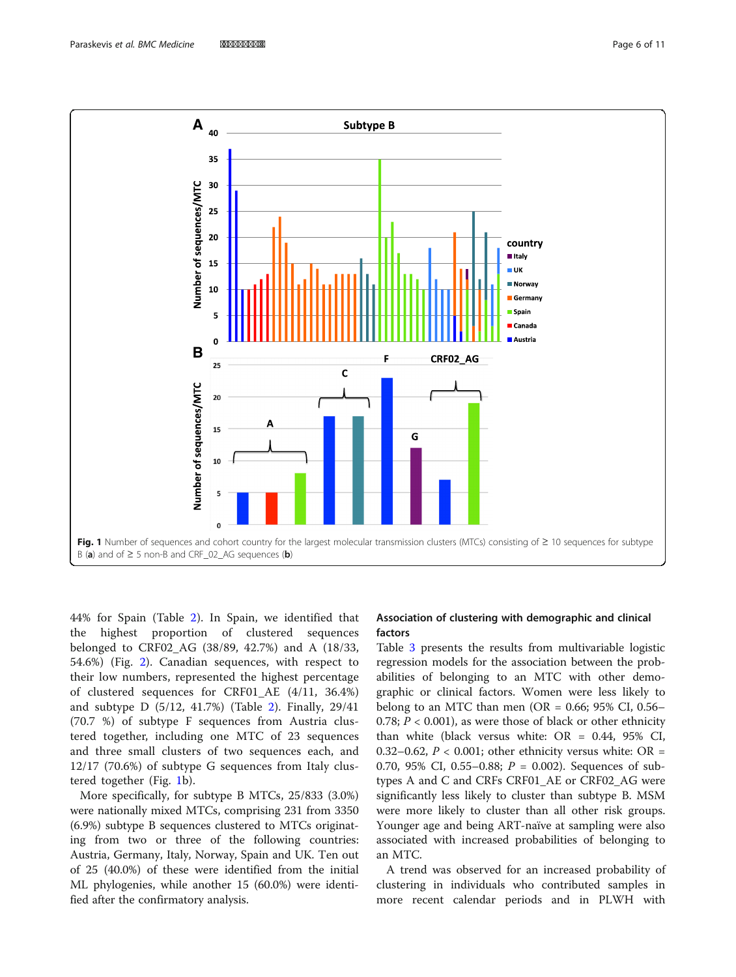<span id="page-5-0"></span>

44% for Spain (Table [2](#page-4-0)). In Spain, we identified that the highest proportion of clustered sequences belonged to CRF02\_AG (38/89, 42.7%) and A (18/33, 54.6%) (Fig. [2](#page-6-0)). Canadian sequences, with respect to their low numbers, represented the highest percentage of clustered sequences for CRF01\_AE (4/11, 36.4%) and subtype D (5/12, 41.7%) (Table [2](#page-4-0)). Finally, 29/41 (70.7 %) of subtype F sequences from Austria clustered together, including one MTC of 23 sequences and three small clusters of two sequences each, and 12/17 (70.6%) of subtype G sequences from Italy clustered together (Fig. 1b).

More specifically, for subtype B MTCs, 25/833 (3.0%) were nationally mixed MTCs, comprising 231 from 3350 (6.9%) subtype B sequences clustered to MTCs originating from two or three of the following countries: Austria, Germany, Italy, Norway, Spain and UK. Ten out of 25 (40.0%) of these were identified from the initial ML phylogenies, while another 15 (60.0%) were identified after the confirmatory analysis.

## Association of clustering with demographic and clinical factors

Table [3](#page-7-0) presents the results from multivariable logistic regression models for the association between the probabilities of belonging to an MTC with other demographic or clinical factors. Women were less likely to belong to an MTC than men (OR = 0.66; 95% CI, 0.56– 0.78;  $P < 0.001$ ), as were those of black or other ethnicity than white (black versus white:  $OR = 0.44$ , 95% CI, 0.32–0.62,  $P < 0.001$ ; other ethnicity versus white: OR = 0.70, 95% CI, 0.55–0.88;  $P = 0.002$ ). Sequences of subtypes A and C and CRFs CRF01\_AE or CRF02\_AG were significantly less likely to cluster than subtype B. MSM were more likely to cluster than all other risk groups. Younger age and being ART-naïve at sampling were also associated with increased probabilities of belonging to an MTC.

A trend was observed for an increased probability of clustering in individuals who contributed samples in more recent calendar periods and in PLWH with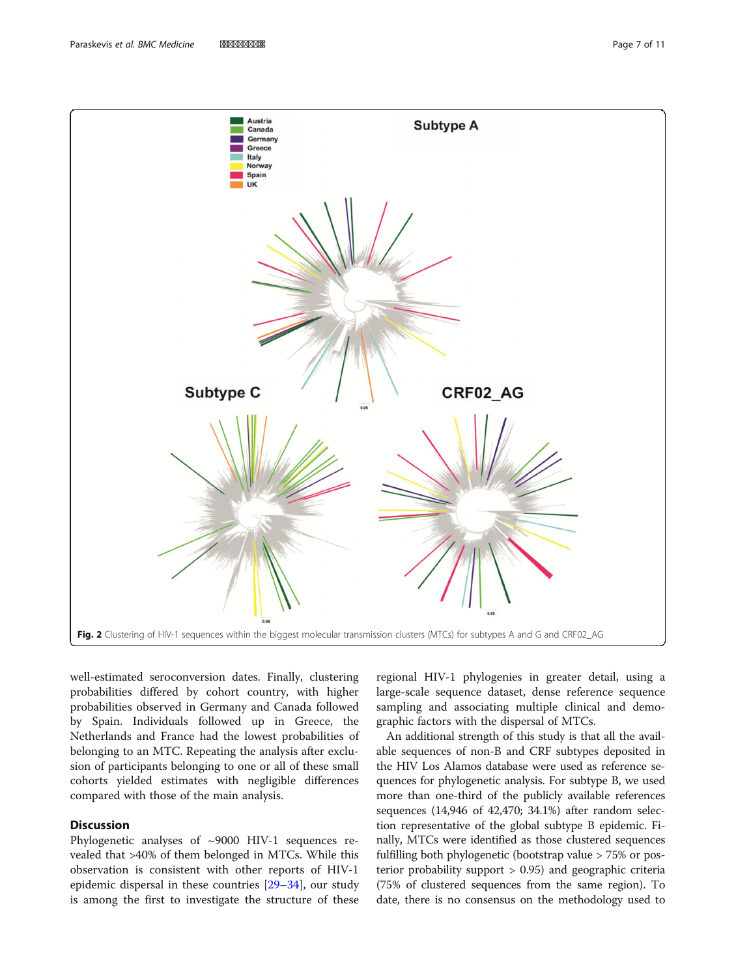<span id="page-6-0"></span>

well-estimated seroconversion dates. Finally, clustering probabilities differed by cohort country, with higher probabilities observed in Germany and Canada followed by Spain. Individuals followed up in Greece, the Netherlands and France had the lowest probabilities of belonging to an MTC. Repeating the analysis after exclusion of participants belonging to one or all of these small cohorts yielded estimates with negligible differences compared with those of the main analysis.

## **Discussion**

Phylogenetic analyses of ~9000 HIV-1 sequences revealed that >40% of them belonged in MTCs. While this observation is consistent with other reports of HIV-1 epidemic dispersal in these countries  $[29-34]$  $[29-34]$  $[29-34]$  $[29-34]$  $[29-34]$ , our study is among the first to investigate the structure of these

regional HIV-1 phylogenies in greater detail, using a large-scale sequence dataset, dense reference sequence sampling and associating multiple clinical and demographic factors with the dispersal of MTCs.

An additional strength of this study is that all the available sequences of non-B and CRF subtypes deposited in the HIV Los Alamos database were used as reference sequences for phylogenetic analysis. For subtype B, we used more than one-third of the publicly available references sequences (14,946 of 42,470; 34.1%) after random selection representative of the global subtype B epidemic. Finally, MTCs were identified as those clustered sequences fulfilling both phylogenetic (bootstrap value > 75% or posterior probability support > 0.95) and geographic criteria (75% of clustered sequences from the same region). To date, there is no consensus on the methodology used to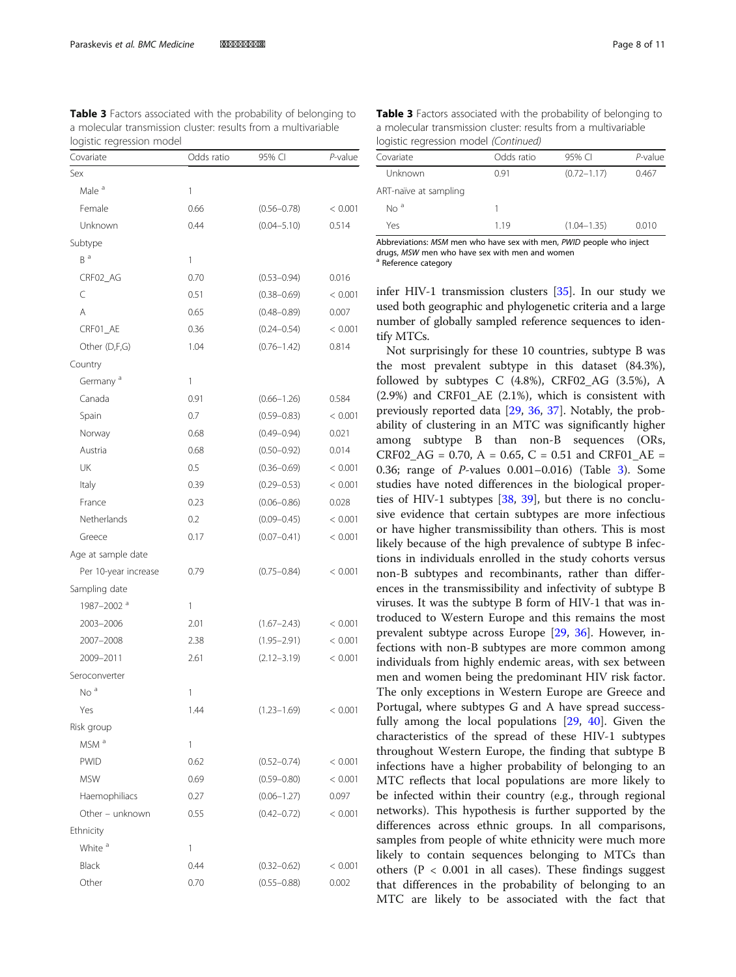<span id="page-7-0"></span>Table 3 Factors associated with the probability of belonging to a molecular transmission cluster: results from a multivariable logistic regression model

| Covariate              | Odds ratio | 95% CI          | P-value |
|------------------------|------------|-----------------|---------|
| Sex                    |            |                 |         |
| Male <sup>a</sup>      | 1          |                 |         |
| Female                 | 0.66       | $(0.56 - 0.78)$ | < 0.001 |
| Unknown                | 0.44       | $(0.04 - 5.10)$ | 0.514   |
| Subtype                |            |                 |         |
| $B^a$                  | 1          |                 |         |
| CRF02_AG               | 0.70       | $(0.53 - 0.94)$ | 0.016   |
| C                      | 0.51       | $(0.38 - 0.69)$ | < 0.001 |
| A                      | 0.65       | $(0.48 - 0.89)$ | 0.007   |
| CRF01_AE               | 0.36       | $(0.24 - 0.54)$ | < 0.001 |
| Other (D,F,G)          | 1.04       | $(0.76 - 1.42)$ | 0.814   |
| Country                |            |                 |         |
| Germany <sup>a</sup>   | 1          |                 |         |
| Canada                 | 0.91       | $(0.66 - 1.26)$ | 0.584   |
| Spain                  | 0.7        | $(0.59 - 0.83)$ | < 0.001 |
| Norway                 | 0.68       | $(0.49 - 0.94)$ | 0.021   |
| Austria                | 0.68       | $(0.50 - 0.92)$ | 0.014   |
| UK                     | 0.5        | $(0.36 - 0.69)$ | < 0.001 |
| Italy                  | 0.39       | $(0.29 - 0.53)$ | < 0.001 |
| France                 | 0.23       | $(0.06 - 0.86)$ | 0.028   |
| Netherlands            | 0.2        | $(0.09 - 0.45)$ | < 0.001 |
| Greece                 | 0.17       | $(0.07 - 0.41)$ | < 0.001 |
| Age at sample date     |            |                 |         |
| Per 10-year increase   | 0.79       | $(0.75 - 0.84)$ | < 0.001 |
| Sampling date          |            |                 |         |
| 1987-2002 <sup>a</sup> | 1          |                 |         |
| 2003-2006              | 2.01       | $(1.67 - 2.43)$ | < 0.001 |
| 2007-2008              | 2.38       | $(1.95 - 2.91)$ | < 0.001 |
| 2009-2011              | 2.61       | $(2.12 - 3.19)$ | < 0.001 |
| Seroconverter          |            |                 |         |
| No <sup>a</sup>        | 1          |                 |         |
| Yes                    | 1.44       | $(1.23 - 1.69)$ | < 0.001 |
| Risk group             |            |                 |         |
| MSM <sup>a</sup>       | 1          |                 |         |
| <b>PWID</b>            | 0.62       | $(0.52 - 0.74)$ | < 0.001 |
| <b>MSW</b>             | 0.69       | $(0.59 - 0.80)$ | < 0.001 |
| Haemophiliacs          | 0.27       | $(0.06 - 1.27)$ | 0.097   |
| Other - unknown        | 0.55       | $(0.42 - 0.72)$ | < 0.001 |
| Ethnicity              |            |                 |         |
| White <sup>a</sup>     | 1          |                 |         |
| Black                  | 0.44       | $(0.32 - 0.62)$ | < 0.001 |
| Other                  | 0.70       | $(0.55 - 0.88)$ | 0.002   |

Table 3 Factors associated with the probability of belonging to a molecular transmission cluster: results from a multivariable logistic regression model (Continued)

| Covariate             | Odds ratio | 95% CI          | $P$ -value |
|-----------------------|------------|-----------------|------------|
| Unknown               | 0.91       | $(0.72 - 1.17)$ | 0.467      |
| ART-naïve at sampling |            |                 |            |
| No <sup>a</sup>       |            |                 |            |
| Yes                   | 119        | $(1.04 - 1.35)$ | 0.010      |

Abbreviations: MSM men who have sex with men, PWID people who inject drugs, MSW men who have sex with men and women a Reference category

infer HIV-1 transmission clusters [[35](#page-10-0)]. In our study we used both geographic and phylogenetic criteria and a large number of globally sampled reference sequences to identify MTCs.

Not surprisingly for these 10 countries, subtype B was the most prevalent subtype in this dataset (84.3%), followed by subtypes C (4.8%), CRF02\_AG (3.5%), A (2.9%) and CRF01\_AE (2.1%), which is consistent with previously reported data [\[29,](#page-10-0) [36](#page-10-0), [37\]](#page-10-0). Notably, the probability of clustering in an MTC was significantly higher among subtype B than non-B sequences (ORs,  $CRF02_AG = 0.70$ ,  $A = 0.65$ ,  $C = 0.51$  and  $CRF01_AE =$ 0.36; range of P-values 0.001–0.016) (Table 3). Some studies have noted differences in the biological properties of HIV-1 subtypes [\[38,](#page-10-0) [39\]](#page-10-0), but there is no conclusive evidence that certain subtypes are more infectious or have higher transmissibility than others. This is most likely because of the high prevalence of subtype B infections in individuals enrolled in the study cohorts versus non-B subtypes and recombinants, rather than differences in the transmissibility and infectivity of subtype B viruses. It was the subtype B form of HIV-1 that was introduced to Western Europe and this remains the most prevalent subtype across Europe [[29,](#page-10-0) [36\]](#page-10-0). However, infections with non-B subtypes are more common among individuals from highly endemic areas, with sex between men and women being the predominant HIV risk factor. The only exceptions in Western Europe are Greece and Portugal, where subtypes G and A have spread successfully among the local populations [[29,](#page-10-0) [40\]](#page-10-0). Given the characteristics of the spread of these HIV-1 subtypes throughout Western Europe, the finding that subtype B infections have a higher probability of belonging to an MTC reflects that local populations are more likely to be infected within their country (e.g., through regional networks). This hypothesis is further supported by the differences across ethnic groups. In all comparisons, samples from people of white ethnicity were much more likely to contain sequences belonging to MTCs than others ( $P < 0.001$  in all cases). These findings suggest that differences in the probability of belonging to an MTC are likely to be associated with the fact that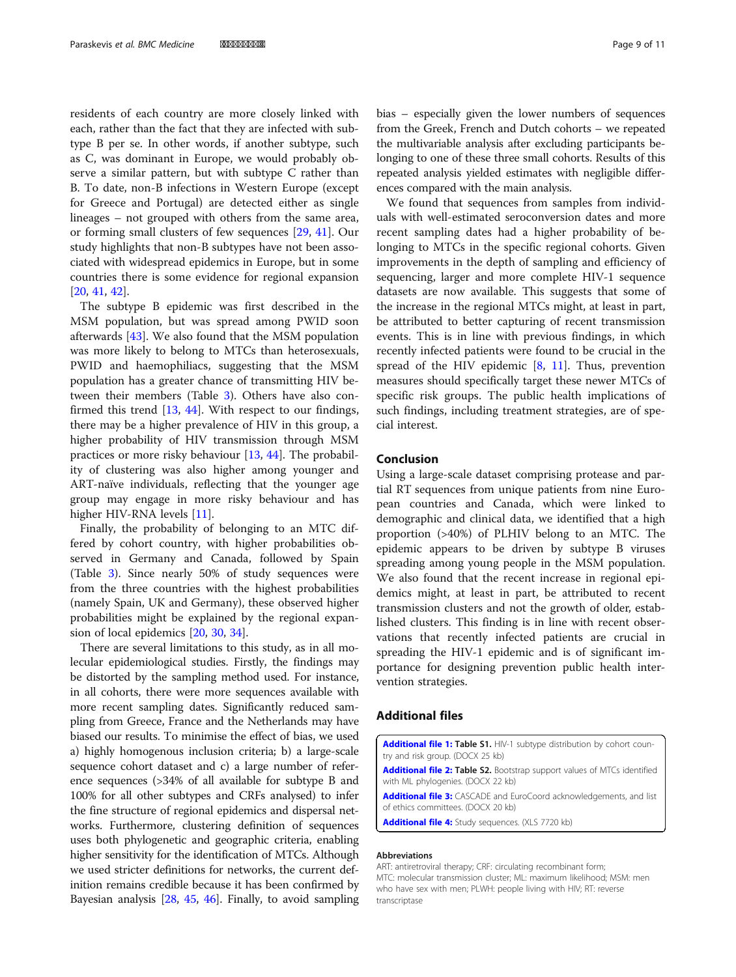<span id="page-8-0"></span>residents of each country are more closely linked with each, rather than the fact that they are infected with subtype B per se. In other words, if another subtype, such as C, was dominant in Europe, we would probably observe a similar pattern, but with subtype C rather than B. To date, non-B infections in Western Europe (except for Greece and Portugal) are detected either as single lineages – not grouped with others from the same area, or forming small clusters of few sequences [\[29,](#page-10-0) [41](#page-10-0)]. Our study highlights that non-B subtypes have not been associated with widespread epidemics in Europe, but in some countries there is some evidence for regional expansion [[20,](#page-10-0) [41,](#page-10-0) [42](#page-10-0)].

The subtype B epidemic was first described in the MSM population, but was spread among PWID soon afterwards [\[43\]](#page-10-0). We also found that the MSM population was more likely to belong to MTCs than heterosexuals, PWID and haemophiliacs, suggesting that the MSM population has a greater chance of transmitting HIV between their members (Table [3](#page-7-0)). Others have also confirmed this trend [\[13](#page-10-0), [44\]](#page-10-0). With respect to our findings, there may be a higher prevalence of HIV in this group, a higher probability of HIV transmission through MSM practices or more risky behaviour [[13,](#page-10-0) [44\]](#page-10-0). The probability of clustering was also higher among younger and ART-naïve individuals, reflecting that the younger age group may engage in more risky behaviour and has higher HIV-RNA levels [\[11](#page-10-0)].

Finally, the probability of belonging to an MTC differed by cohort country, with higher probabilities observed in Germany and Canada, followed by Spain (Table [3\)](#page-7-0). Since nearly 50% of study sequences were from the three countries with the highest probabilities (namely Spain, UK and Germany), these observed higher probabilities might be explained by the regional expansion of local epidemics [\[20](#page-10-0), [30,](#page-10-0) [34\]](#page-10-0).

There are several limitations to this study, as in all molecular epidemiological studies. Firstly, the findings may be distorted by the sampling method used. For instance, in all cohorts, there were more sequences available with more recent sampling dates. Significantly reduced sampling from Greece, France and the Netherlands may have biased our results. To minimise the effect of bias, we used a) highly homogenous inclusion criteria; b) a large-scale sequence cohort dataset and c) a large number of reference sequences (>34% of all available for subtype B and 100% for all other subtypes and CRFs analysed) to infer the fine structure of regional epidemics and dispersal networks. Furthermore, clustering definition of sequences uses both phylogenetic and geographic criteria, enabling higher sensitivity for the identification of MTCs. Although we used stricter definitions for networks, the current definition remains credible because it has been confirmed by Bayesian analysis [\[28,](#page-10-0) [45,](#page-10-0) [46\]](#page-10-0). Finally, to avoid sampling bias – especially given the lower numbers of sequences from the Greek, French and Dutch cohorts – we repeated the multivariable analysis after excluding participants belonging to one of these three small cohorts. Results of this repeated analysis yielded estimates with negligible differences compared with the main analysis.

We found that sequences from samples from individuals with well-estimated seroconversion dates and more recent sampling dates had a higher probability of belonging to MTCs in the specific regional cohorts. Given improvements in the depth of sampling and efficiency of sequencing, larger and more complete HIV-1 sequence datasets are now available. This suggests that some of the increase in the regional MTCs might, at least in part, be attributed to better capturing of recent transmission events. This is in line with previous findings, in which recently infected patients were found to be crucial in the spread of the HIV epidemic  $[8, 11]$  $[8, 11]$  $[8, 11]$  $[8, 11]$ . Thus, prevention measures should specifically target these newer MTCs of specific risk groups. The public health implications of such findings, including treatment strategies, are of special interest.

## Conclusion

Using a large-scale dataset comprising protease and partial RT sequences from unique patients from nine European countries and Canada, which were linked to demographic and clinical data, we identified that a high proportion (>40%) of PLHIV belong to an MTC. The epidemic appears to be driven by subtype B viruses spreading among young people in the MSM population. We also found that the recent increase in regional epidemics might, at least in part, be attributed to recent transmission clusters and not the growth of older, established clusters. This finding is in line with recent observations that recently infected patients are crucial in spreading the HIV-1 epidemic and is of significant importance for designing prevention public health intervention strategies.

## Additional files

[Additional file 1:](https://doi.org/10.1186/s12916-018-1241-1) Table S1. HIV-1 subtype distribution by cohort country and risk group. (DOCX 25 kb) [Additional file 2:](https://doi.org/10.1186/s12916-018-1241-1) Table S2. Bootstrap support values of MTCs identified

with ML phylogenies. (DOCX 22 kb)

[Additional file 3:](https://doi.org/10.1186/s12916-018-1241-1) CASCADE and EuroCoord acknowledgements, and list of ethics committees. (DOCX 20 kb)

[Additional file 4:](https://doi.org/10.1186/s12916-018-1241-1) Study sequences. (XLS 7720 kb)

#### Abbreviations

ART: antiretroviral therapy; CRF: circulating recombinant form; MTC: molecular transmission cluster; ML: maximum likelihood; MSM: men who have sex with men; PLWH: people living with HIV; RT: reverse transcriptase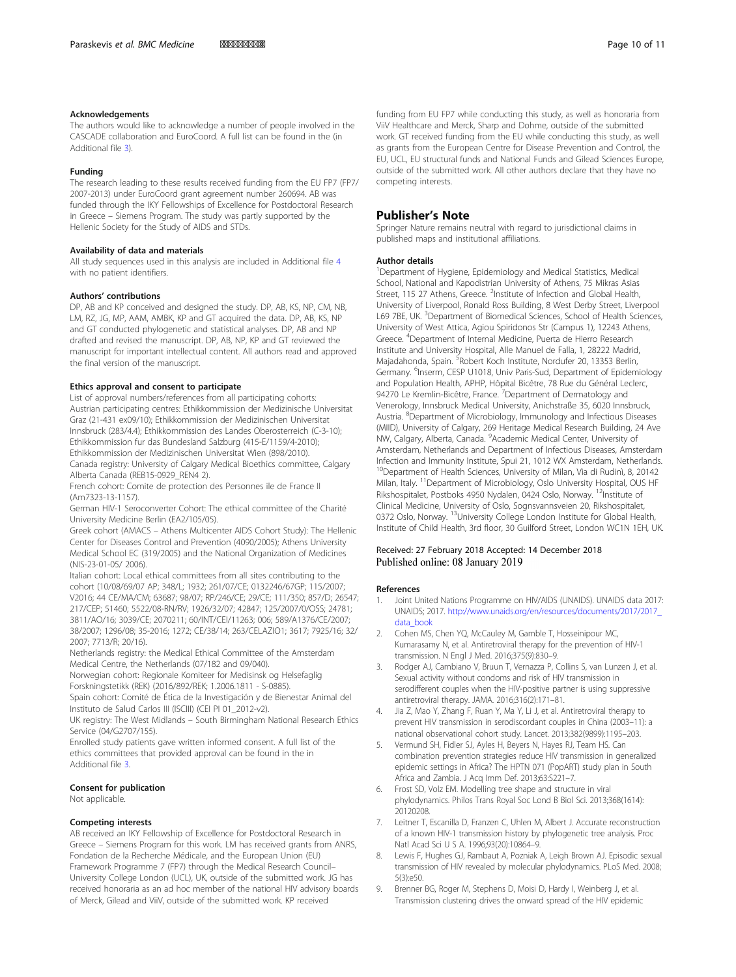#### <span id="page-9-0"></span>Acknowledgements

The authors would like to acknowledge a number of people involved in the CASCADE collaboration and EuroCoord. A full list can be found in the (in Additional file [3](#page-8-0)).

#### Funding

The research leading to these results received funding from the EU FP7 (FP7/ 2007-2013) under EuroCoord grant agreement number 260694. AB was funded through the ΙΚΥ Fellowships of Excellence for Postdoctoral Research in Greece – Siemens Program. The study was partly supported by the Hellenic Society for the Study of AIDS and STDs.

#### Availability of data and materials

All study sequences used in this analysis are included in Additional file [4](#page-8-0) with no patient identifiers.

#### Authors' contributions

DP, AB and KP conceived and designed the study. DP, AB, KS, NP, CM, NB, LM, RZ, JG, MP, AAM, AMBK, KP and GT acquired the data. DP, AB, KS, NP and GT conducted phylogenetic and statistical analyses. DP, AB and NP drafted and revised the manuscript. DP, AB, NP, KP and GT reviewed the manuscript for important intellectual content. All authors read and approved the final version of the manuscript.

#### Ethics approval and consent to participate

List of approval numbers/references from all participating cohorts: Austrian participating centres: Ethikkommission der Medizinische Universitat Graz (21-431 ex09/10); Ethikkommission der Medizinischen Universitat Innsbruck (283/4.4); Ethikkommission des Landes Oberosterreich (C-3-10); Ethikkommission fur das Bundesland Salzburg (415-E/1159/4-2010); Ethikkommission der Medizinischen Universitat Wien (898/2010). Canada registry: University of Calgary Medical Bioethics committee, Calgary Alberta Canada (REB15-0929\_REN4 2).

French cohort: Comite de protection des Personnes ile de France II (Am7323-13-1157).

German HIV-1 Seroconverter Cohort: The ethical committee of the Charité University Medicine Berlin (EA2/105/05).

Greek cohort (AMACS – Athens Multicenter AIDS Cohort Study): The Hellenic Center for Diseases Control and Prevention (4090/2005); Athens University Medical School EC (319/2005) and the National Organization of Medicines (NIS-23-01-05/ 2006).

Italian cohort: Local ethical committees from all sites contributing to the cohort (10/08/69/07 AP; 348/L; 1932; 261/07/CE; 0132246/67GP; 115/2007; V2016; 44 CE/MA/CM; 63687; 98/07; RP/246/CE; 29/CE; 111/350; 857/D; 26547; 217/CEP; 51460; 5522/08-RN/RV; 1926/32/07; 42847; 125/2007/0/OSS; 24781; 3811/AO/16; 3039/CE; 2070211; 60/INT/CEI/11263; 006; 589/A1376/CE/2007; 38/2007; 1296/08; 35-2016; 1272; CE/38/14; 263/CELAZIO1; 3617; 7925/16; 32/ 2007; 7713/R; 20/16).

Netherlands registry: the Medical Ethical Committee of the Amsterdam Medical Centre, the Netherlands (07/182 and 09/040).

Norwegian cohort: Regionale Komiteer for Medisinsk og Helsefaglig Forskningstetikk (REK) (2016/892/REK; 1.2006.1811 - S-0885).

Spain cohort: Comité de Ética de la Investigación y de Bienestar Animal del Instituto de Salud Carlos III (ISCIII) (CEI PI 01\_2012-v2).

UK registry: The West Midlands – South Birmingham National Research Ethics Service (04/G2707/155).

Enrolled study patients gave written informed consent. A full list of the ethics committees that provided approval can be found in the in Additional file [3](#page-8-0).

## Consent for publication

Not applicable.

#### Competing interests

AB received an ΙΚΥ Fellowship of Excellence for Postdoctoral Research in Greece – Siemens Program for this work. LM has received grants from ANRS, Fondation de la Recherche Médicale, and the European Union (EU) Framework Programme 7 (FP7) through the Medical Research Council– University College London (UCL), UK, outside of the submitted work. JG has received honoraria as an ad hoc member of the national HIV advisory boards of Merck, Gilead and ViiV, outside of the submitted work. KP received

funding from EU FP7 while conducting this study, as well as honoraria from ViiV Healthcare and Merck, Sharp and Dohme, outside of the submitted work. GT received funding from the EU while conducting this study, as well as grants from the European Centre for Disease Prevention and Control, the EU, UCL, EU structural funds and National Funds and Gilead Sciences Europe, outside of the submitted work. All other authors declare that they have no competing interests.

#### Publisher's Note

Springer Nature remains neutral with regard to jurisdictional claims in published maps and institutional affiliations.

#### Author details

<sup>1</sup>Department of Hygiene, Epidemiology and Medical Statistics, Medical School, National and Kapodistrian University of Athens, 75 Mikras Asias Street, 115 27 Athens, Greece. <sup>2</sup>Institute of Infection and Global Health, University of Liverpool, Ronald Ross Building, 8 West Derby Street, Liverpool L69 7BE, UK. <sup>3</sup>Department of Biomedical Sciences, School of Health Sciences University of West Attica, Agiou Spiridonos Str (Campus 1), 12243 Athens, Greece. <sup>4</sup>Department of Internal Medicine, Puerta de Hierro Research Institute and University Hospital, Alle Manuel de Falla, 1, 28222 Madrid, Majadahonda, Spain. <sup>5</sup>Robert Koch Institute, Nordufer 20, 13353 Berlin Germany. <sup>6</sup>Inserm, CESP U1018, Univ Paris-Sud, Department of Epidemiology and Population Health, APHP, Hôpital Bicêtre, 78 Rue du Général Leclerc, 94270 Le Kremlin-Bicêtre, France. <sup>7</sup>Department of Dermatology and Venerology, Innsbruck Medical University, Anichstraße 35, 6020 Innsbruck, Austria. <sup>8</sup> Department of Microbiology, Immunology and Infectious Diseases (MIID), University of Calgary, 269 Heritage Medical Research Building, 24 Ave NW, Calgary, Alberta, Canada. <sup>9</sup> Academic Medical Center, University of Amsterdam, Netherlands and Department of Infectious Diseases, Amsterdam Infection and Immunity Institute, Spui 21, 1012 WX Amsterdam, Netherlands. <sup>10</sup>Department of Health Sciences, University of Milan, Via di Rudinì, 8, 20142 Milan, Italy. 11Department of Microbiology, Oslo University Hospital, OUS HF Rikshospitalet, Postboks 4950 Nydalen, 0424 Oslo, Norway. <sup>12</sup>Institute of Clinical Medicine, University of Oslo, Sognsvannsveien 20, Rikshospitalet, 0372 Oslo, Norway. <sup>13</sup>University College London Institute for Global Health, Institute of Child Health, 3rd floor, 30 Guilford Street, London WC1N 1EH, UK.

### Received: 27 February 2018 Accepted: 14 December 2018 Published online: 08 January 2019

#### References

- 1. Joint United Nations Programme on HIV/AIDS (UNAIDS). UNAIDS data 2017: UNAIDS; 2017. [http://www.unaids.org/en/resources/documents/2017/2017\\_](http://www.unaids.org/en/resources/documents/2017/2017_data_book) [data\\_book](http://www.unaids.org/en/resources/documents/2017/2017_data_book)
- 2. Cohen MS, Chen YQ, McCauley M, Gamble T, Hosseinipour MC, Kumarasamy N, et al. Antiretroviral therapy for the prevention of HIV-1 transmission. N Engl J Med. 2016;375(9):830–9.
- 3. Rodger AJ, Cambiano V, Bruun T, Vernazza P, Collins S, van Lunzen J, et al. Sexual activity without condoms and risk of HIV transmission in serodifferent couples when the HIV-positive partner is using suppressive antiretroviral therapy. JAMA. 2016;316(2):171–81.
- 4. Jia Z, Mao Y, Zhang F, Ruan Y, Ma Y, Li J, et al. Antiretroviral therapy to prevent HIV transmission in serodiscordant couples in China (2003–11): a national observational cohort study. Lancet. 2013;382(9899):1195–203.
- 5. Vermund SH, Fidler SJ, Ayles H, Beyers N, Hayes RJ, Team HS. Can combination prevention strategies reduce HIV transmission in generalized epidemic settings in Africa? The HPTN 071 (PopART) study plan in South Africa and Zambia. J Acq Imm Def. 2013;63:S221–7.
- 6. Frost SD, Volz EM. Modelling tree shape and structure in viral phylodynamics. Philos Trans Royal Soc Lond B Biol Sci. 2013;368(1614): 20120208.
- 7. Leitner T, Escanilla D, Franzen C, Uhlen M, Albert J. Accurate reconstruction of a known HIV-1 transmission history by phylogenetic tree analysis. Proc Natl Acad Sci U S A. 1996;93(20):10864–9.
- 8. Lewis F, Hughes GJ, Rambaut A, Pozniak A, Leigh Brown AJ. Episodic sexual transmission of HIV revealed by molecular phylodynamics. PLoS Med. 2008; 5(3):e50.
- 9. Brenner BG, Roger M, Stephens D, Moisi D, Hardy I, Weinberg J, et al. Transmission clustering drives the onward spread of the HIV epidemic